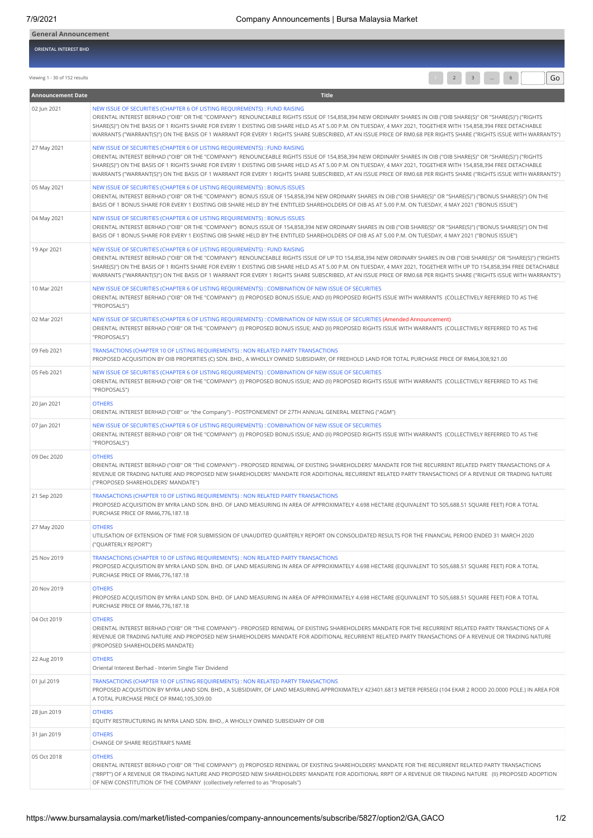| <b>General Announcement</b> |  |  |
|-----------------------------|--|--|
| ORIENTAL INTEREST BHD       |  |  |
|                             |  |  |

Viewing 1 - 30 of 152 results Go  $\overline{G}$  Go  $\overline{G}$  Go  $\overline{G}$  Go  $\overline{G}$  Go  $\overline{G}$  Go  $\overline{G}$  Go  $\overline{G}$  Go  $\overline{G}$  Go  $\overline{G}$  Go  $\overline{G}$  Go  $\overline{G}$  Go  $\overline{G}$  Go  $\overline{G}$  Go  $\overline{G}$  Go  $\overline{G}$  Go  $\overline{G}$ 

| <b>Announcement Date</b> | <b>Title</b>                                                                                                                                                                                                                                                                                                                                                                                                                                                                                                                                                                                     |
|--------------------------|--------------------------------------------------------------------------------------------------------------------------------------------------------------------------------------------------------------------------------------------------------------------------------------------------------------------------------------------------------------------------------------------------------------------------------------------------------------------------------------------------------------------------------------------------------------------------------------------------|
| 02 Jun 2021              | NEW ISSUE OF SECURITIES (CHAPTER 6 OF LISTING REQUIREMENTS) : FUND RAISING<br>ORIENTAL INTEREST BERHAD ("OIB" OR THE "COMPANY") RENOUNCEABLE RIGHTS ISSUE OF 154,858,394 NEW ORDINARY SHARES IN OIB ("OIB SHARE(S)" OR "SHARE(S)") ("RIGHTS<br>SHARE(S)") ON THE BASIS OF 1 RIGHTS SHARE FOR EVERY 1 EXISTING OIB SHARE HELD AS AT 5.00 P.M. ON TUESDAY, 4 MAY 2021, TOGETHER WITH 154,858,394 FREE DETACHABLE<br>WARRANTS ("WARRANT(S)") ON THE BASIS OF 1 WARRANT FOR EVERY 1 RIGHTS SHARE SUBSCRIBED, AT AN ISSUE PRICE OF RM0.68 PER RIGHTS SHARE ("RIGHTS ISSUE WITH WARRANTS")             |
| 27 May 2021              | NEW ISSUE OF SECURITIES (CHAPTER 6 OF LISTING REQUIREMENTS) : FUND RAISING<br>ORIENTAL INTEREST BERHAD ("OIB" OR THE "COMPANY") RENOUNCEABLE RIGHTS ISSUE OF 154,858,394 NEW ORDINARY SHARES IN OIB ("OIB SHARE(S)" OR "SHARE(S)") ("RIGHTS<br>SHARE(S)") ON THE BASIS OF 1 RIGHTS SHARE FOR EVERY 1 EXISTING OIB SHARE HELD AS AT 5.00 P.M. ON TUESDAY, 4 MAY 2021, TOGETHER WITH 154,858,394 FREE DETACHABLE<br>WARRANTS ("WARRANT(S)") ON THE BASIS OF 1 WARRANT FOR EVERY 1 RIGHTS SHARE SUBSCRIBED, AT AN ISSUE PRICE OF RM0.68 PER RIGHTS SHARE ("RIGHTS ISSUE WITH WARRANTS")             |
| 05 May 2021              | NEW ISSUE OF SECURITIES (CHAPTER 6 OF LISTING REQUIREMENTS): BONUS ISSUES<br>ORIENTAL INTEREST BERHAD ("OIB" OR THE "COMPANY") BONUS ISSUE OF 154,858,394 NEW ORDINARY SHARES IN OIB ("OIB SHARE(S)" OR "SHARE(S)") ("BONUS SHARE(S)") ON THE<br>BASIS OF 1 BONUS SHARE FOR EVERY 1 EXISTING OIB SHARE HELD BY THE ENTITLED SHAREHOLDERS OF OIB AS AT 5.00 P.M. ON TUESDAY, 4 MAY 2021 ("BONUS ISSUE")                                                                                                                                                                                           |
| 04 May 2021              | NEW ISSUE OF SECURITIES (CHAPTER 6 OF LISTING REQUIREMENTS): BONUS ISSUES<br>ORIENTAL INTEREST BERHAD ("OIB" OR THE "COMPANY") BONUS ISSUE OF 154,858,394 NEW ORDINARY SHARES IN OIB ("OIB SHARE(S)" OR "SHARE(S)") ("BONUS SHARE(S)") ON THE<br>BASIS OF 1 BONUS SHARE FOR EVERY 1 EXISTING OIB SHARE HELD BY THE ENTITLED SHAREHOLDERS OF OIB AS AT 5.00 P.M. ON TUESDAY, 4 MAY 2021 ("BONUS ISSUE")                                                                                                                                                                                           |
| 19 Apr 2021              | NEW ISSUE OF SECURITIES (CHAPTER 6 OF LISTING REQUIREMENTS) : FUND RAISING<br>ORIENTAL INTEREST BERHAD ("OIB" OR THE "COMPANY") RENOUNCEABLE RIGHTS ISSUE OF UP TO 154,858,394 NEW ORDINARY SHARES IN OIB ("OIB SHARE(S)" OR "SHARE(S)") ("RIGHTS<br>SHARE(S)") ON THE BASIS OF 1 RIGHTS SHARE FOR EVERY 1 EXISTING OIB SHARE HELD AS AT 5.00 P.M. ON TUESDAY, 4 MAY 2021, TOGETHER WITH UP TO 154,858,394 FREE DETACHABLE<br>WARRANTS ("WARRANT(S)") ON THE BASIS OF 1 WARRANT FOR EVERY 1 RIGHTS SHARE SUBSCRIBED, AT AN ISSUE PRICE OF RM0.68 PER RIGHTS SHARE ("RIGHTS ISSUE WITH WARRANTS") |
| 10 Mar 2021              | NEW ISSUE OF SECURITIES (CHAPTER 6 OF LISTING REQUIREMENTS): COMBINATION OF NEW ISSUE OF SECURITIES<br>ORIENTAL INTEREST BERHAD ("OIB" OR THE "COMPANY") (I) PROPOSED BONUS ISSUE; AND (II) PROPOSED RIGHTS ISSUE WITH WARRANTS (COLLECTIVELY REFERRED TO AS THE<br>"PROPOSALS")                                                                                                                                                                                                                                                                                                                 |
| 02 Mar 2021              | NEW ISSUE OF SECURITIES (CHAPTER 6 OF LISTING REQUIREMENTS): COMBINATION OF NEW ISSUE OF SECURITIES (Amended Announcement)<br>ORIENTAL INTEREST BERHAD ("OIB" OR THE "COMPANY") (I) PROPOSED BONUS ISSUE; AND (II) PROPOSED RIGHTS ISSUE WITH WARRANTS (COLLECTIVELY REFERRED TO AS THE<br>"PROPOSALS")                                                                                                                                                                                                                                                                                          |
| 09 Feb 2021              | TRANSACTIONS (CHAPTER 10 OF LISTING REQUIREMENTS) : NON RELATED PARTY TRANSACTIONS<br>PROPOSED ACQUISITION BY OIB PROPERTIES (C) SDN. BHD., A WHOLLY OWNED SUBSIDIARY, OF FREEHOLD LAND FOR TOTAL PURCHASE PRICE OF RM64,308,921.00                                                                                                                                                                                                                                                                                                                                                              |
| 05 Feb 2021              | NEW ISSUE OF SECURITIES (CHAPTER 6 OF LISTING REQUIREMENTS) : COMBINATION OF NEW ISSUE OF SECURITIES<br>ORIENTAL INTEREST BERHAD ("OIB" OR THE "COMPANY") (I) PROPOSED BONUS ISSUE; AND (II) PROPOSED RIGHTS ISSUE WITH WARRANTS (COLLECTIVELY REFERRED TO AS THE<br>"PROPOSALS")                                                                                                                                                                                                                                                                                                                |
| 20 Jan 2021              | <b>OTHERS</b><br>ORIENTAL INTEREST BERHAD ("OIB" or "the Company") - POSTPONEMENT OF 27TH ANNUAL GENERAL MEETING ("AGM")                                                                                                                                                                                                                                                                                                                                                                                                                                                                         |
| 07 Jan 2021              | NEW ISSUE OF SECURITIES (CHAPTER 6 OF LISTING REQUIREMENTS) : COMBINATION OF NEW ISSUE OF SECURITIES<br>ORIENTAL INTEREST BERHAD ("OIB" OR THE "COMPANY") (I) PROPOSED BONUS ISSUE; AND (II) PROPOSED RIGHTS ISSUE WITH WARRANTS (COLLECTIVELY REFERRED TO AS THE<br>"PROPOSALS")                                                                                                                                                                                                                                                                                                                |
| 09 Dec 2020              | <b>OTHERS</b><br>ORIENTAL INTEREST BERHAD ("OIB" OR "THE COMPANY") - PROPOSED RENEWAL OF EXISTING SHAREHOLDERS' MANDATE FOR THE RECURRENT RELATED PARTY TRANSACTIONS OF A<br>REVENUE OR TRADING NATURE AND PROPOSED NEW SHAREHOLDERS' MANDATE FOR ADDITIONAL RECURRENT RELATED PARTY TRANSACTIONS OF A REVENUE OR TRADING NATURE<br>("PROPOSED SHAREHOLDERS' MANDATE")                                                                                                                                                                                                                           |
| 21 Sep 2020              | TRANSACTIONS (CHAPTER 10 OF LISTING REQUIREMENTS) : NON RELATED PARTY TRANSACTIONS<br>PROPOSED ACQUISITION BY MYRA LAND SDN. BHD. OF LAND MEASURING IN AREA OF APPROXIMATELY 4.698 HECTARE (EQUIVALENT TO 505,688.51 SQUARE FEET) FOR A TOTAL<br>PURCHASE PRICE OF RM46,776,187.18                                                                                                                                                                                                                                                                                                               |
| 27 May 2020              | <b>OTHERS</b><br>UTILISATION OF EXTENSION OF TIME FOR SUBMISSION OF UNAUDITED QUARTERLY REPORT ON CONSOLIDATED RESULTS FOR THE FINANCIAL PERIOD ENDED 31 MARCH 2020<br>("QUARTERLY REPORT")                                                                                                                                                                                                                                                                                                                                                                                                      |
| 25 Nov 2019              | TRANSACTIONS (CHAPTER 10 OF LISTING REQUIREMENTS) : NON RELATED PARTY TRANSACTIONS<br>PROPOSED ACQUISITION BY MYRA LAND SDN. BHD. OF LAND MEASURING IN AREA OF APPROXIMATELY 4.698 HECTARE (EQUIVALENT TO 505,688.51 SQUARE FEET) FOR A TOTAL<br>PURCHASE PRICE OF RM46,776,187.18                                                                                                                                                                                                                                                                                                               |
| 20 Nov 2019              | <b>OTHERS</b><br>PROPOSED ACOUISITION BY MYRA LAND SDN. BHD. OF LAND MEASURING IN AREA OF APPROXIMATELY 4.698 HECTARE (EQUIVALENT TO 505,688.51 SQUARE FEET) FOR A TOTAL<br>PURCHASE PRICE OF RM46,776,187.18                                                                                                                                                                                                                                                                                                                                                                                    |
| 04 Oct 2019              | <b>OTHERS</b><br>ORIENTAL INTEREST BERHAD ("OIB" OR "THE COMPANY") - PROPOSED RENEWAL OF EXISTING SHAREHOLDERS MANDATE FOR THE RECURRENT RELATED PARTY TRANSACTIONS OF A<br>REVENUE OR TRADING NATURE AND PROPOSED NEW SHAREHOLDERS MANDATE FOR ADDITIONAL RECURRENT RELATED PARTY TRANSACTIONS OF A REVENUE OR TRADING NATURE<br>(PROPOSED SHAREHOLDERS MANDATE)                                                                                                                                                                                                                                |
| 22 Aug 2019              | <b>OTHERS</b><br>Oriental Interest Berhad - Interim Single Tier Dividend                                                                                                                                                                                                                                                                                                                                                                                                                                                                                                                         |
| 01 Jul 2019              | TRANSACTIONS (CHAPTER 10 OF LISTING REQUIREMENTS) : NON RELATED PARTY TRANSACTIONS<br>PROPOSED ACQUISITION BY MYRA LAND SDN. BHD., A SUBSIDIARY, OF LAND MEASURING APPROXIMATELY 423401.6813 METER PERSEGI (104 EKAR 2 ROOD 20.0000 POLE.) IN AREA FOR<br>A TOTAL PURCHASE PRICE OF RM40,105,309.00                                                                                                                                                                                                                                                                                              |
| 28 Jun 2019              | <b>OTHERS</b><br>EQUITY RESTRUCTURING IN MYRA LAND SDN. BHD., A WHOLLY OWNED SUBSIDIARY OF OIB                                                                                                                                                                                                                                                                                                                                                                                                                                                                                                   |
| 31 Jan 2019              | <b>OTHERS</b><br>CHANGE OF SHARE REGISTRAR'S NAME                                                                                                                                                                                                                                                                                                                                                                                                                                                                                                                                                |
| 05 Oct 2018              | <b>OTHERS</b><br>ORIENTAL INTEREST BERHAD ("OIB" OR "THE COMPANY") (I) PROPOSED RENEWAL OF EXISTING SHAREHOLDERS' MANDATE FOR THE RECURRENT RELATED PARTY TRANSACTIONS<br>("RRPT") OF A REVENUE OR TRADING NATURE AND PROPOSED NEW SHAREHOLDERS' MANDATE FOR ADDITIONAL RRPT OF A REVENUE OR TRADING NATURE (II) PROPOSED ADOPTION<br>OF NEW CONSTITUTION OF THE COMPANY (collectively referred to as "Proposals")                                                                                                                                                                               |